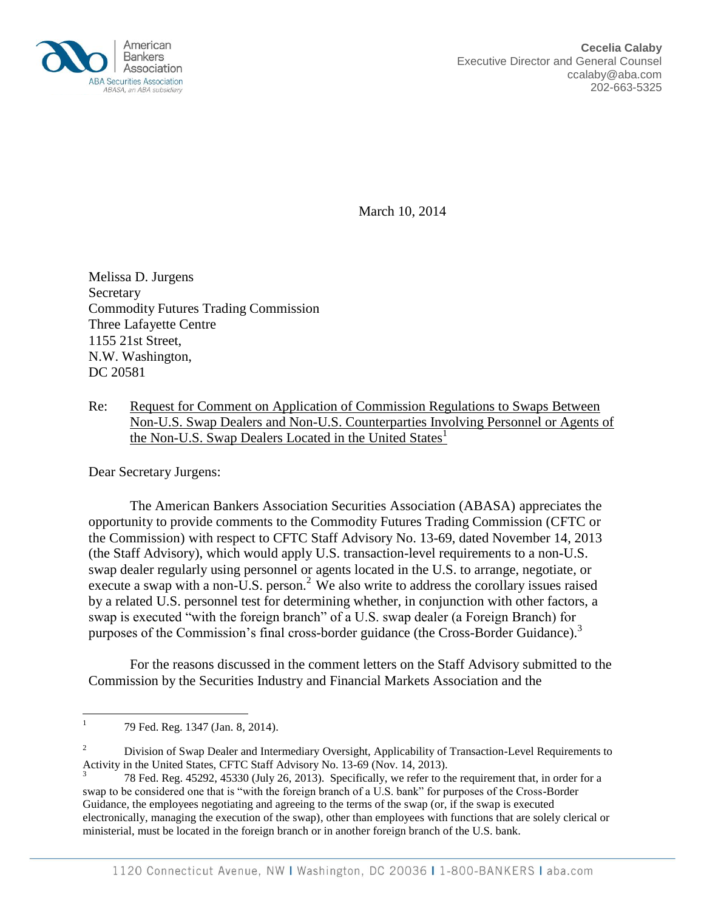

March 10, 2014

Melissa D. Jurgens Secretary Commodity Futures Trading Commission Three Lafayette Centre 1155 21st Street, N.W. Washington, DC 20581

Re: Request for Comment on Application of Commission Regulations to Swaps Between Non-U.S. Swap Dealers and Non-U.S. Counterparties Involving Personnel or Agents of the Non-U.S. Swap Dealers Located in the United States<sup>1</sup>

Dear Secretary Jurgens:

The American Bankers Association Securities Association (ABASA) appreciates the opportunity to provide comments to the Commodity Futures Trading Commission (CFTC or the Commission) with respect to CFTC Staff Advisory No. 13-69, dated November 14, 2013 (the Staff Advisory), which would apply U.S. transaction-level requirements to a non-U.S. swap dealer regularly using personnel or agents located in the U.S. to arrange, negotiate, or execute a swap with a non-U.S. person.<sup>2</sup> We also write to address the corollary issues raised by a related U.S. personnel test for determining whether, in conjunction with other factors, a swap is executed "with the foreign branch" of a U.S. swap dealer (a Foreign Branch) for purposes of the Commission's final cross-border guidance (the Cross-Border Guidance).<sup>3</sup>

For the reasons discussed in the comment letters on the Staff Advisory submitted to the Commission by the Securities Industry and Financial Markets Association and the

 $\overline{a}$ 

<sup>2</sup> Division of Swap Dealer and Intermediary Oversight, Applicability of Transaction-Level Requirements to Activity in the United States, CFTC Staff Advisory No. 13-69 (Nov. 14, 2013).

<sup>1</sup> 79 Fed. Reg. 1347 (Jan. 8, 2014).

<sup>3</sup> 78 Fed. Reg. 45292, 45330 (July 26, 2013). Specifically, we refer to the requirement that, in order for a swap to be considered one that is "with the foreign branch of a U.S. bank" for purposes of the Cross-Border Guidance, the employees negotiating and agreeing to the terms of the swap (or, if the swap is executed electronically, managing the execution of the swap), other than employees with functions that are solely clerical or ministerial, must be located in the foreign branch or in another foreign branch of the U.S. bank.